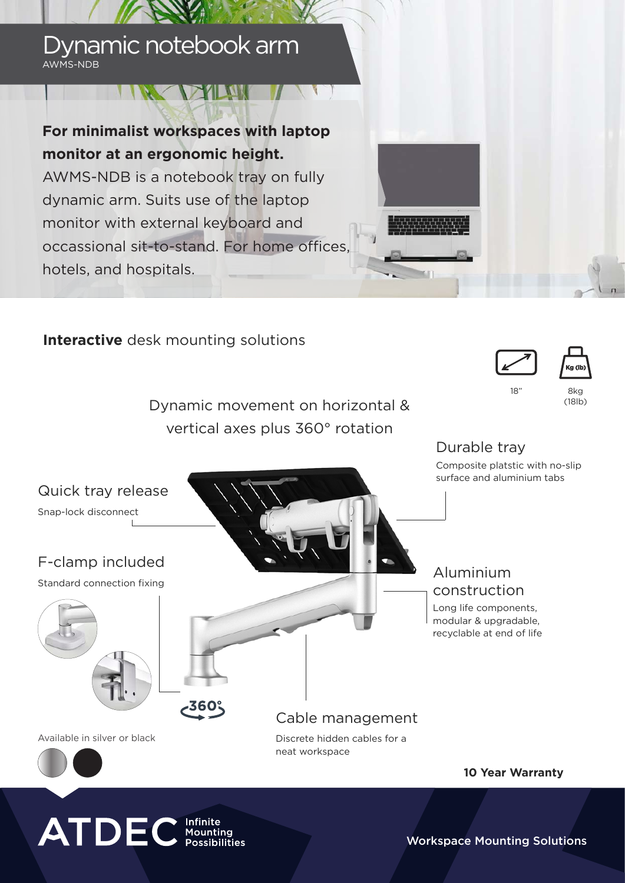## Dynamic notebook arm AWMS-NDB

# **For minimalist workspaces with laptop monitor at an ergonomic height.**

**IN DAMI** 

AWMS-NDB is a notebook tray on fully dynamic arm. Suits use of the laptop monitor with external keyboard and occassional sit-to-stand. For home offices, hotels, and hospitals.

### **Interactive** desk mounting solutions

Dynamic movement on horizontal & vertical axes plus 360° rotation





18" 8kg

(18lb)

# Durable tray Composite platstic with no-slip surface and aluminium tabs Quick tray release Snap-lock disconnect F-clamp included Aluminium Standard connection fixing construction Long life components, modular & upgradable, recyclable at end of life**360** Cable management Available in silver or black Discrete hidden cables for a

neat workspace

**10 Year Warranty**

# **ATDEC** Infinite

Workspace Mounting Solutions